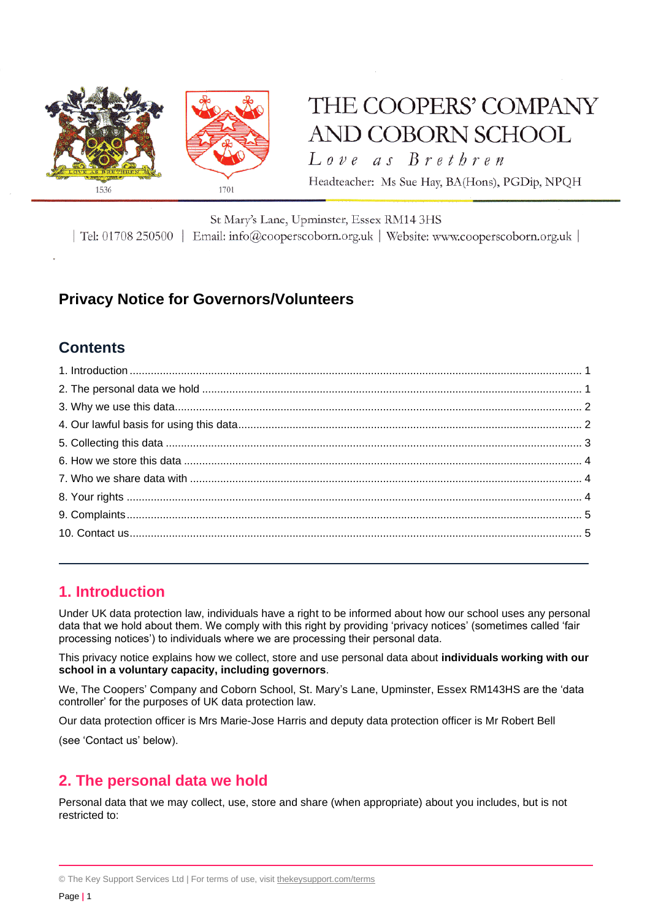

# THE COOPERS' COMPANY AND COBORN SCHOOL

Love as Brethren

Headteacher: Ms Sue Hay, BA(Hons), PGDip, NPQH

#### St Mary's Lane, Upminster, Essex RM14 3HS

| Tel: 01708 250500 | Email: info@cooperscoborn.org.uk | Website: www.cooperscoborn.org.uk |

# **Privacy Notice for Governors/Volunteers**

# **Contents**

# <span id="page-0-0"></span>**1. Introduction**

Under UK data protection law, individuals have a right to be informed about how our school uses any personal data that we hold about them. We comply with this right by providing 'privacy notices' (sometimes called 'fair processing notices') to individuals where we are processing their personal data.

This privacy notice explains how we collect, store and use personal data about **individuals working with our school in a voluntary capacity, including governors**.

We, The Coopers' Company and Coborn School, St. Mary's Lane, Upminster, Essex RM143HS are the 'data controller' for the purposes of UK data protection law.

Our data protection officer is Mrs Marie-Jose Harris and deputy data protection officer is Mr Robert Bell

(see 'Contact us' below).

# <span id="page-0-1"></span>**2. The personal data we hold**

Personal data that we may collect, use, store and share (when appropriate) about you includes, but is not restricted to:

<sup>©</sup> The Key Support Services Ltd | For terms of use, visit [thekeysupport.com/terms](https://thekeysupport.com/terms-of-use)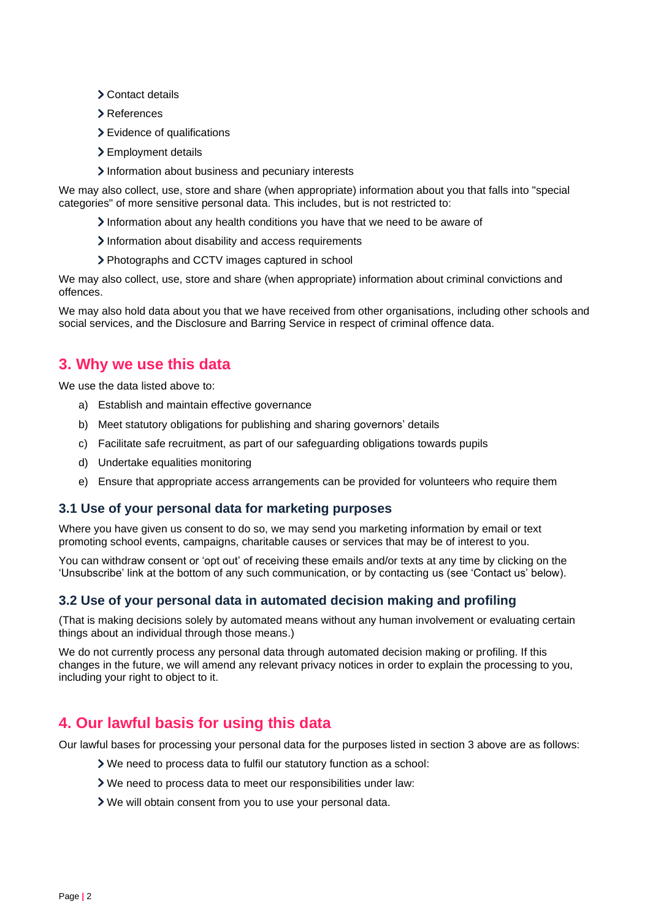- Contact details
- References
- Evidence of qualifications
- > Employment details
- Information about business and pecuniary interests

We may also collect, use, store and share (when appropriate) information about you that falls into "special categories" of more sensitive personal data. This includes, but is not restricted to:

- $\lambda$  Information about any health conditions you have that we need to be aware of
- Information about disability and access requirements
- Photographs and CCTV images captured in school

We may also collect, use, store and share (when appropriate) information about criminal convictions and offences.

We may also hold data about you that we have received from other organisations, including other schools and social services, and the Disclosure and Barring Service in respect of criminal offence data.

# <span id="page-1-0"></span>**3. Why we use this data**

We use the data listed above to:

- a) Establish and maintain effective governance
- b) Meet statutory obligations for publishing and sharing governors' details
- c) Facilitate safe recruitment, as part of our safeguarding obligations towards pupils
- d) Undertake equalities monitoring
- e) Ensure that appropriate access arrangements can be provided for volunteers who require them

#### **3.1 Use of your personal data for marketing purposes**

Where you have given us consent to do so, we may send you marketing information by email or text promoting school events, campaigns, charitable causes or services that may be of interest to you.

You can withdraw consent or 'opt out' of receiving these emails and/or texts at any time by clicking on the 'Unsubscribe' link at the bottom of any such communication, or by contacting us (see 'Contact us' below).

### **3.2 Use of your personal data in automated decision making and profiling**

(That is making decisions solely by automated means without any human involvement or evaluating certain things about an individual through those means.)

We do not currently process any personal data through automated decision making or profiling. If this changes in the future, we will amend any relevant privacy notices in order to explain the processing to you, including your right to object to it.

# <span id="page-1-1"></span>**4. Our lawful basis for using this data**

Our lawful bases for processing your personal data for the purposes listed in section 3 above are as follows:

- We need to process data to fulfil our statutory function as a school:
- We need to process data to meet our responsibilities under law:
- We will obtain consent from you to use your personal data.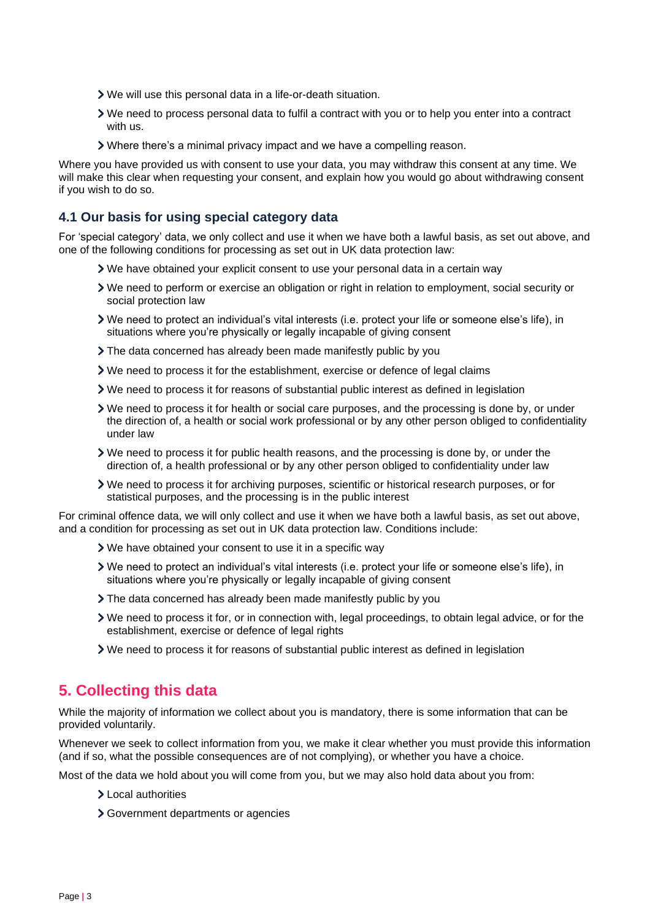- We will use this personal data in a life-or-death situation.
- We need to process personal data to fulfil a contract with you or to help you enter into a contract with us.
- Where there's a minimal privacy impact and we have a compelling reason.

Where you have provided us with consent to use your data, you may withdraw this consent at any time. We will make this clear when requesting your consent, and explain how you would go about withdrawing consent if you wish to do so.

#### **4.1 Our basis for using special category data**

For 'special category' data, we only collect and use it when we have both a lawful basis, as set out above, and one of the following conditions for processing as set out in UK data protection law:

- We have obtained your explicit consent to use your personal data in a certain way
- We need to perform or exercise an obligation or right in relation to employment, social security or social protection law
- We need to protect an individual's vital interests (i.e. protect your life or someone else's life), in situations where you're physically or legally incapable of giving consent
- The data concerned has already been made manifestly public by you
- $\triangleright$  We need to process it for the establishment, exercise or defence of legal claims
- We need to process it for reasons of substantial public interest as defined in legislation
- We need to process it for health or social care purposes, and the processing is done by, or under the direction of, a health or social work professional or by any other person obliged to confidentiality under law
- We need to process it for public health reasons, and the processing is done by, or under the direction of, a health professional or by any other person obliged to confidentiality under law
- We need to process it for archiving purposes, scientific or historical research purposes, or for statistical purposes, and the processing is in the public interest

For criminal offence data, we will only collect and use it when we have both a lawful basis, as set out above, and a condition for processing as set out in UK data protection law. Conditions include:

- We have obtained your consent to use it in a specific way
- We need to protect an individual's vital interests (i.e. protect your life or someone else's life), in situations where you're physically or legally incapable of giving consent
- The data concerned has already been made manifestly public by you
- We need to process it for, or in connection with, legal proceedings, to obtain legal advice, or for the establishment, exercise or defence of legal rights
- We need to process it for reasons of substantial public interest as defined in legislation

# <span id="page-2-0"></span>**5. Collecting this data**

While the majority of information we collect about you is mandatory, there is some information that can be provided voluntarily.

Whenever we seek to collect information from you, we make it clear whether you must provide this information (and if so, what the possible consequences are of not complying), or whether you have a choice.

Most of the data we hold about you will come from you, but we may also hold data about you from:

- Local authorities
- Government departments or agencies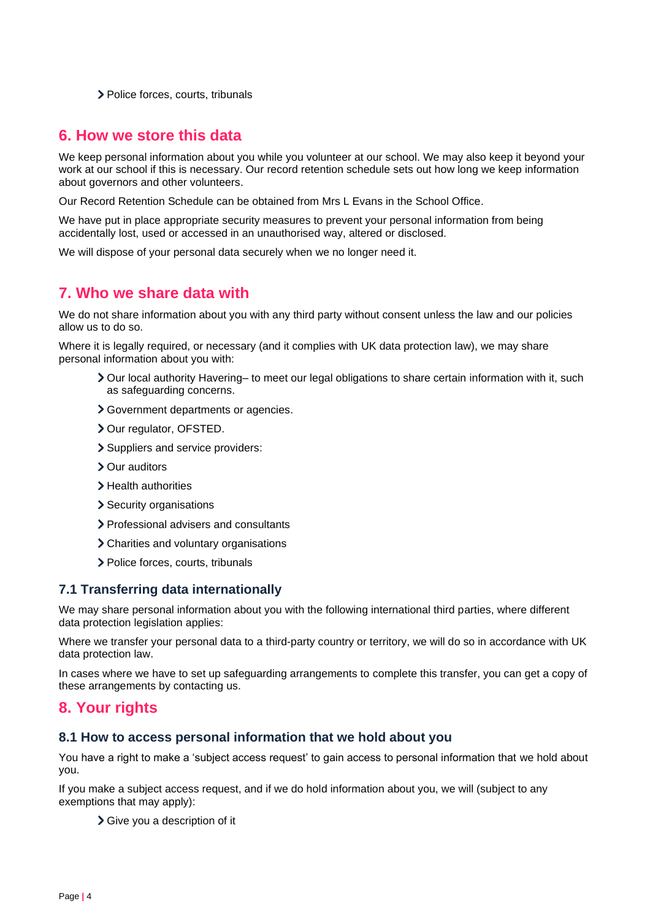> Police forces, courts, tribunals

### <span id="page-3-0"></span>**6. How we store this data**

We keep personal information about you while you volunteer at our school. We may also keep it beyond your work at our school if this is necessary. Our record retention schedule sets out how long we keep information about governors and other volunteers.

Our Record Retention Schedule can be obtained from Mrs L Evans in the School Office.

We have put in place appropriate security measures to prevent your personal information from being accidentally lost, used or accessed in an unauthorised way, altered or disclosed.

We will dispose of your personal data securely when we no longer need it.

### <span id="page-3-1"></span>**7. Who we share data with**

We do not share information about you with any third party without consent unless the law and our policies allow us to do so.

Where it is legally required, or necessary (and it complies with UK data protection law), we may share personal information about you with:

- ▶ Our local authority Havering– to meet our legal obligations to share certain information with it, such as safeguarding concerns.
- Government departments or agencies.
- > Our regulator, OFSTED.
- Suppliers and service providers:
- Our auditors
- > Health authorities
- > Security organisations
- > Professional advisers and consultants
- Charities and voluntary organisations
- > Police forces, courts, tribunals

### **7.1 Transferring data internationally**

We may share personal information about you with the following international third parties, where different data protection legislation applies:

Where we transfer your personal data to a third-party country or territory, we will do so in accordance with UK data protection law.

In cases where we have to set up safeguarding arrangements to complete this transfer, you can get a copy of these arrangements by contacting us.

### <span id="page-3-2"></span>**8. Your rights**

#### **8.1 How to access personal information that we hold about you**

You have a right to make a 'subject access request' to gain access to personal information that we hold about you.

If you make a subject access request, and if we do hold information about you, we will (subject to any exemptions that may apply):

> Give you a description of it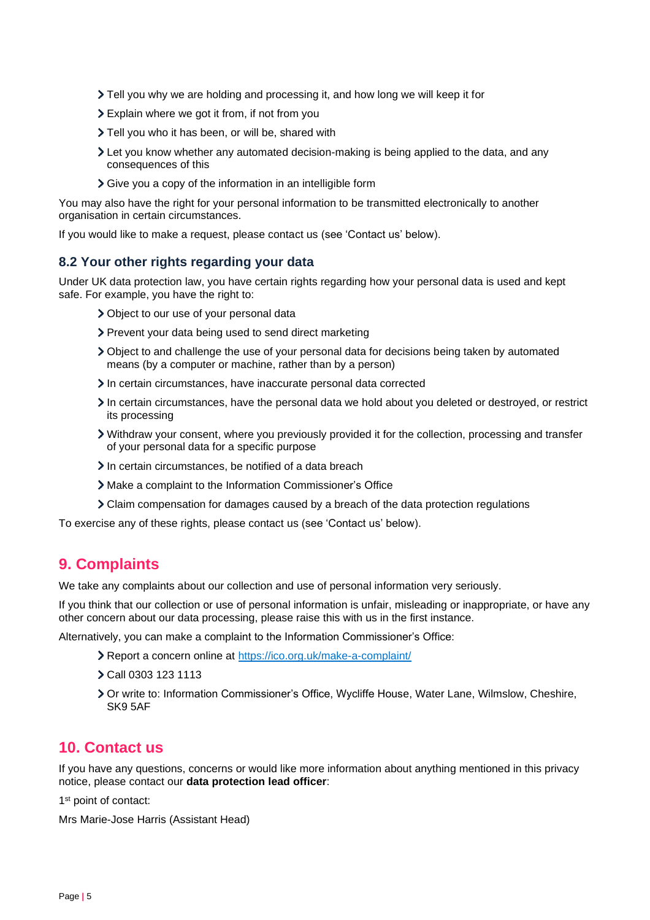- Tell you why we are holding and processing it, and how long we will keep it for
- Explain where we got it from, if not from you
- > Tell you who it has been, or will be, shared with
- Let you know whether any automated decision-making is being applied to the data, and any consequences of this
- Give you a copy of the information in an intelligible form

You may also have the right for your personal information to be transmitted electronically to another organisation in certain circumstances.

If you would like to make a request, please contact us (see 'Contact us' below).

### **8.2 Your other rights regarding your data**

Under UK data protection law, you have certain rights regarding how your personal data is used and kept safe. For example, you have the right to:

- Object to our use of your personal data
- > Prevent your data being used to send direct marketing
- Object to and challenge the use of your personal data for decisions being taken by automated means (by a computer or machine, rather than by a person)
- In certain circumstances, have inaccurate personal data corrected
- In certain circumstances, have the personal data we hold about you deleted or destroyed, or restrict its processing
- Withdraw your consent, where you previously provided it for the collection, processing and transfer of your personal data for a specific purpose
- In certain circumstances, be notified of a data breach
- Make a complaint to the Information Commissioner's Office
- Claim compensation for damages caused by a breach of the data protection regulations

To exercise any of these rights, please contact us (see 'Contact us' below).

# <span id="page-4-0"></span>**9. Complaints**

We take any complaints about our collection and use of personal information very seriously.

If you think that our collection or use of personal information is unfair, misleading or inappropriate, or have any other concern about our data processing, please raise this with us in the first instance.

Alternatively, you can make a complaint to the Information Commissioner's Office:

- Report a concern online at<https://ico.org.uk/make-a-complaint/>
- Call 0303 123 1113
- Or write to: Information Commissioner's Office, Wycliffe House, Water Lane, Wilmslow, Cheshire, SK9 5AF

# <span id="page-4-1"></span>**10. Contact us**

If you have any questions, concerns or would like more information about anything mentioned in this privacy notice, please contact our **data protection lead officer**:

1<sup>st</sup> point of contact:

Mrs Marie-Jose Harris (Assistant Head)